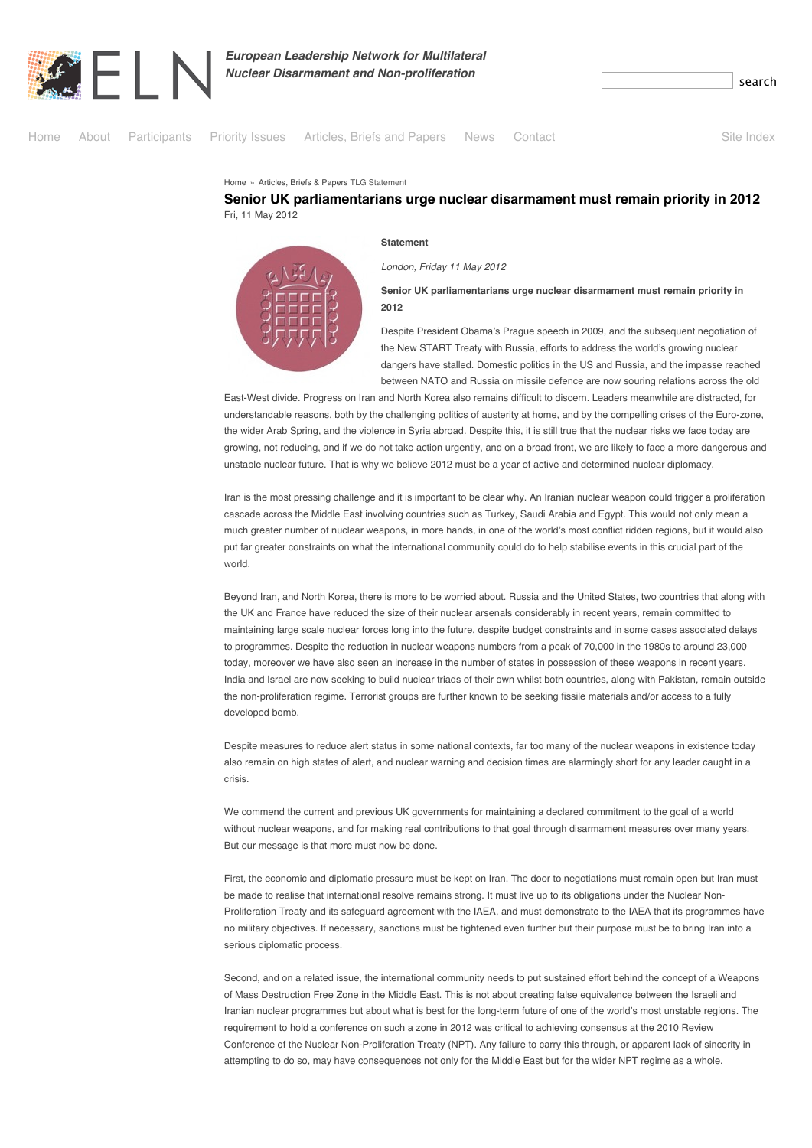

*European Leadership Network for Multilateral Nuclear Disarmament and Non-proliferation* 



[Home](http://www.europeanleadershipnetwork.org/) » [Articles, Briefs & Papers](http://www.europeanleadershipnetwork.org/articles_41.html) TLG Statement

## **Senior UK parliamentarians urge nuclear disarmament must remain priority in 2012** Fri, 11 May 2012

**Statement**

*London, Friday 11 May 2012*

**Senior UK parliamentarians urge nuclear disarmament must remain priority in 2012**

Despite President Obama's Prague speech in 2009, and the subsequent negotiation of the New START Treaty with Russia, efforts to address the world's growing nuclear dangers have stalled. Domestic politics in the US and Russia, and the impasse reached between NATO and Russia on missile defence are now souring relations across the old

East-West divide. Progress on Iran and North Korea also remains difficult to discern. Leaders meanwhile are distracted, for understandable reasons, both by the challenging politics of austerity at home, and by the compelling crises of the Euro-zone, the wider Arab Spring, and the violence in Syria abroad. Despite this, it is still true that the nuclear risks we face today are growing, not reducing, and if we do not take action urgently, and on a broad front, we are likely to face a more dangerous and unstable nuclear future. That is why we believe 2012 must be a year of active and determined nuclear diplomacy.

Iran is the most pressing challenge and it is important to be clear why. An Iranian nuclear weapon could trigger a proliferation cascade across the Middle East involving countries such as Turkey, Saudi Arabia and Egypt. This would not only mean a much greater number of nuclear weapons, in more hands, in one of the world's most conflict ridden regions, but it would also put far greater constraints on what the international community could do to help stabilise events in this crucial part of the world.

Beyond Iran, and North Korea, there is more to be worried about. Russia and the United States, two countries that along with the UK and France have reduced the size of their nuclear arsenals considerably in recent years, remain committed to maintaining large scale nuclear forces long into the future, despite budget constraints and in some cases associated delays to programmes. Despite the reduction in nuclear weapons numbers from a peak of 70,000 in the 1980s to around 23,000 today, moreover we have also seen an increase in the number of states in possession of these weapons in recent years. India and Israel are now seeking to build nuclear triads of their own whilst both countries, along with Pakistan, remain outside the non-proliferation regime. Terrorist groups are further known to be seeking fissile materials and/or access to a fully developed bomb.

Despite measures to reduce alert status in some national contexts, far too many of the nuclear weapons in existence today also remain on high states of alert, and nuclear warning and decision times are alarmingly short for any leader caught in a crisis.

We commend the current and previous UK governments for maintaining a declared commitment to the goal of a world without nuclear weapons, and for making real contributions to that goal through disarmament measures over many years. But our message is that more must now be done.

First, the economic and diplomatic pressure must be kept on Iran. The door to negotiations must remain open but Iran must be made to realise that international resolve remains strong. It must live up to its obligations under the Nuclear Non-Proliferation Treaty and its safeguard agreement with the IAEA, and must demonstrate to the IAEA that its programmes have no military objectives. If necessary, sanctions must be tightened even further but their purpose must be to bring Iran into a serious diplomatic process.

Second, and on a related issue, the international community needs to put sustained effort behind the concept of a Weapons of Mass Destruction Free Zone in the Middle East. This is not about creating false equivalence between the Israeli and Iranian nuclear programmes but about what is best for the long-term future of one of the world's most unstable regions. The requirement to hold a conference on such a zone in 2012 was critical to achieving consensus at the 2010 Review Conference of the Nuclear Non-Proliferation Treaty (NPT). Any failure to carry this through, or apparent lack of sincerity in attempting to do so, may have consequences not only for the Middle East but for the wider NPT regime as a whole.

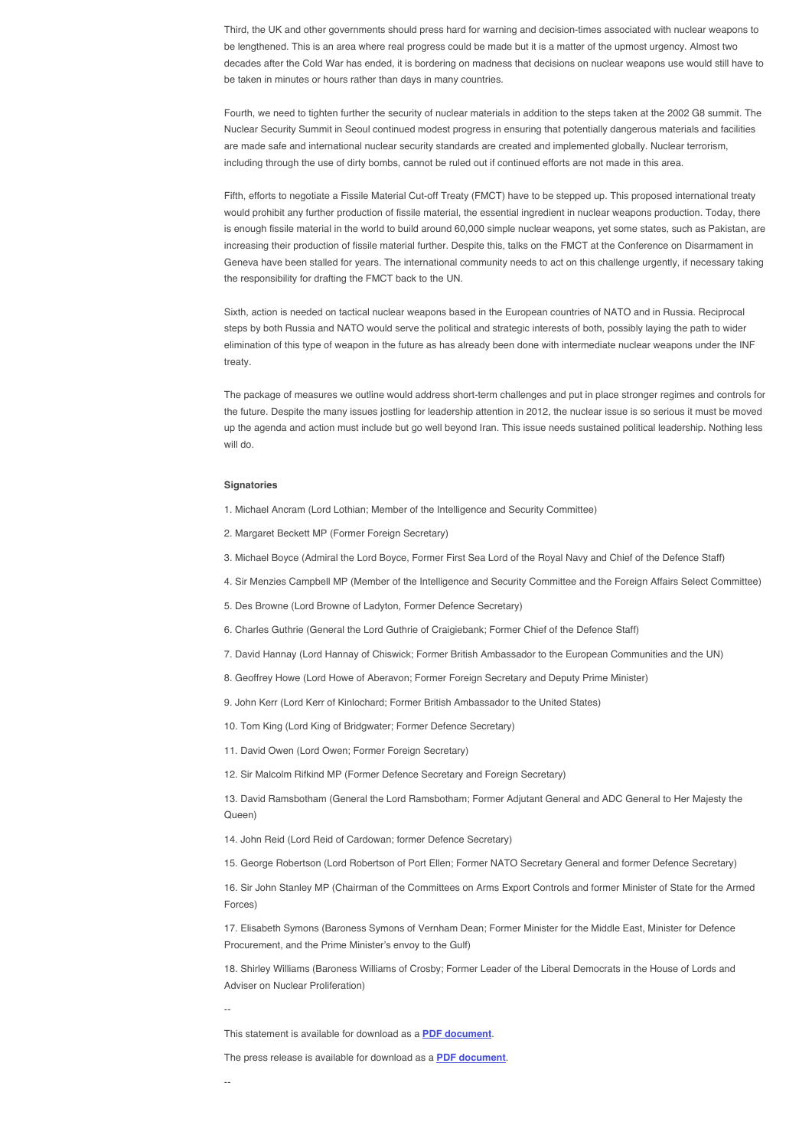Third, the UK and other governments should press hard for warning and decision-times associated with nuclear weapons to be lengthened. This is an area where real progress could be made but it is a matter of the upmost urgency. Almost two decades after the Cold War has ended, it is bordering on madness that decisions on nuclear weapons use would still have to be taken in minutes or hours rather than days in many countries.

Fourth, we need to tighten further the security of nuclear materials in addition to the steps taken at the 2002 G8 summit. The Nuclear Security Summit in Seoul continued modest progress in ensuring that potentially dangerous materials and facilities are made safe and international nuclear security standards are created and implemented globally. Nuclear terrorism, including through the use of dirty bombs, cannot be ruled out if continued efforts are not made in this area.

Fifth, efforts to negotiate a Fissile Material Cut-off Treaty (FMCT) have to be stepped up. This proposed international treaty would prohibit any further production of fissile material, the essential ingredient in nuclear weapons production. Today, there is enough fissile material in the world to build around 60,000 simple nuclear weapons, yet some states, such as Pakistan, are increasing their production of fissile material further. Despite this, talks on the FMCT at the Conference on Disarmament in Geneva have been stalled for years. The international community needs to act on this challenge urgently, if necessary taking the responsibility for drafting the FMCT back to the UN.

Sixth, action is needed on tactical nuclear weapons based in the European countries of NATO and in Russia. Reciprocal steps by both Russia and NATO would serve the political and strategic interests of both, possibly laying the path to wider elimination of this type of weapon in the future as has already been done with intermediate nuclear weapons under the INF treaty.

The package of measures we outline would address short-term challenges and put in place stronger regimes and controls for the future. Despite the many issues jostling for leadership attention in 2012, the nuclear issue is so serious it must be moved up the agenda and action must include but go well beyond Iran. This issue needs sustained political leadership. Nothing less will do.

## **Signatories**

- 1. Michael Ancram (Lord Lothian; Member of the Intelligence and Security Committee)
- 2. Margaret Beckett MP (Former Foreign Secretary)
- 3. Michael Boyce (Admiral the Lord Boyce, Former First Sea Lord of the Royal Navy and Chief of the Defence Staff)
- 4. Sir Menzies Campbell MP (Member of the Intelligence and Security Committee and the Foreign Affairs Select Committee)
- 5. Des Browne (Lord Browne of Ladyton, Former Defence Secretary)
- 6. Charles Guthrie (General the Lord Guthrie of Craigiebank; Former Chief of the Defence Staff)
- 7. David Hannay (Lord Hannay of Chiswick; Former British Ambassador to the European Communities and the UN)
- 8. Geoffrey Howe (Lord Howe of Aberavon; Former Foreign Secretary and Deputy Prime Minister)
- 9. John Kerr (Lord Kerr of Kinlochard; Former British Ambassador to the United States)
- 10. Tom King (Lord King of Bridgwater; Former Defence Secretary)
- 11. David Owen (Lord Owen; Former Foreign Secretary)
- 12. Sir Malcolm Rifkind MP (Former Defence Secretary and Foreign Secretary)

13. David Ramsbotham (General the Lord Ramsbotham; Former Adjutant General and ADC General to Her Majesty the Queen)

- 14. John Reid (Lord Reid of Cardowan; former Defence Secretary)
- 15. George Robertson (Lord Robertson of Port Ellen; Former NATO Secretary General and former Defence Secretary)

16. Sir John Stanley MP (Chairman of the Committees on Arms Export Controls and former Minister of State for the Armed Forces)

17. Elisabeth Symons (Baroness Symons of Vernham Dean; Former Minister for the Middle East, Minister for Defence Procurement, and the Prime Minister's envoy to the Gulf)

18. Shirley Williams (Baroness Williams of Crosby; Former Leader of the Liberal Democrats in the House of Lords and Adviser on Nuclear Proliferation)

--

This statement is available for download as a **PDF document**.

The press release is available for download as a **PDF document**.

--